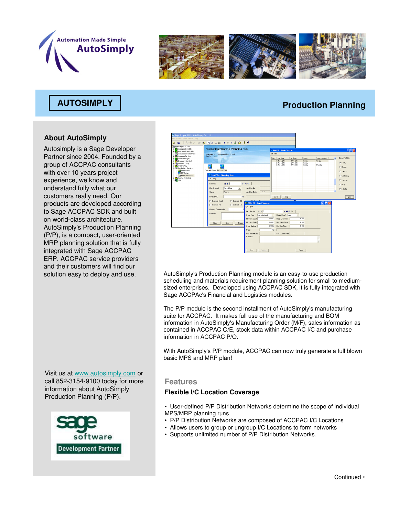



## **About AutoSimply**

Autosimply is a Sage Developer Partner since 2004. Founded by a group of ACCPAC consultants with over 10 years project experience, we know and understand fully what our customers really need. Our products are developed according to Sage ACCPAC SDK and built on world-class architecture. AutoSimply's Production Planning (P/P), is a compact, user-oriented MRP planning solution that is fully integrated with Sage ACCPAC ERP. ACCPAC service providers and their customers will find our

**AUTOSIMPLY Production Planning** 



solution easy to deploy and use. AutoSimply's Production Planning module is an easy-to-use production scheduling and materials requirement planning solution for small to mediumsized enterprises. Developed using ACCPAC SDK, it is fully integrated with Sage ACCPAc's Financial and Logistics modules.

> The P/P module is the second installment of AutoSimply's manufacturing suite for ACCPAC. It makes full use of the manufacturing and BOM information in AutoSimply's Manufacturing Order (M/F), sales information as contained in ACCPAC O/E, stock data within ACCPAC I/C and purchase information in ACCPAC P/O.

> With AutoSimply's P/P module, ACCPAC can now truly generate a full blown basic MPS and MRP plan!

Visit us at www.autosimply.com or call 852-3154-9100 today for more information about AutoSimply Production Planning (P/P).



### **Features**

#### **Flexible I/C Location Coverage**

• User-defined P/P Distribution Networks determine the scope of individual MPS/MRP planning runs

- P/P Distribution Networks are composed of ACCPAC I/C Locations
- Allows users to group or ungroup I/C Locations to form networks
- Supports unlimited number of P/P Distribution Networks.